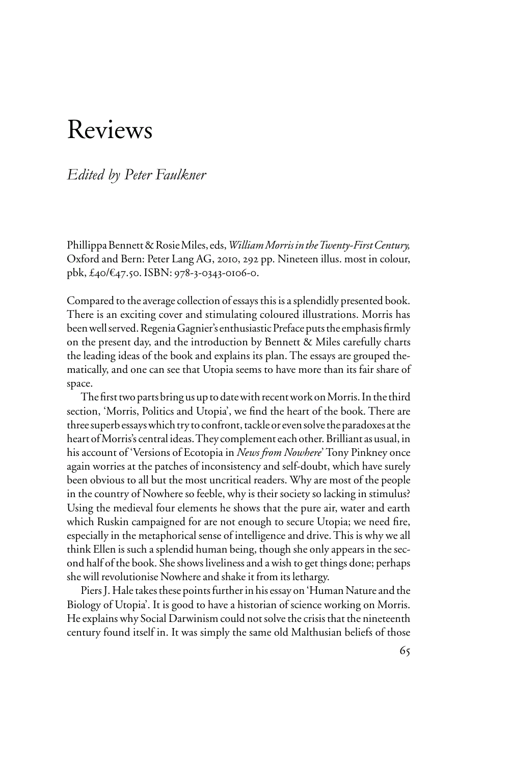# Reviews

# *Edited by Peter Faulkner*

Phillippa Bennett & Rosie Miles, eds, *William Morris in the Twenty-First Century,*  Oxford and Bern: Peter Lang AG, 2010, 292 pp. Nineteen illus. most in colour, pbk, £40/€47.50. ISBN: 978-3-0343-0106-0.

Compared to the average collection of essays this is a splendidly presented book. There is an exciting cover and stimulating coloured illustrations. Morris has been well served. Regenia Gagnier's enthusiastic Preface puts the emphasis firmly on the present day, and the introduction by Bennett & Miles carefully charts the leading ideas of the book and explains its plan. The essays are grouped thematically, and one can see that Utopia seems to have more than its fair share of space.

The first two parts bring us up to date with recent work on Morris. In the third section, 'Morris, Politics and Utopia', we find the heart of the book. There are three superb essays which try to confront, tackle or even solve the paradoxes at the heart of Morris's central ideas. They complement each other. Brilliant as usual, in his account of 'Versions of Ecotopia in *News from Nowhere*' Tony Pinkney once again worries at the patches of inconsistency and self-doubt, which have surely been obvious to all but the most uncritical readers. Why are most of the people in the country of Nowhere so feeble, why is their society so lacking in stimulus? Using the medieval four elements he shows that the pure air, water and earth which Ruskin campaigned for are not enough to secure Utopia; we need fire, especially in the metaphorical sense of intelligence and drive. This is why we all think Ellen is such a splendid human being, though she only appears in the second half of the book. She shows liveliness and a wish to get things done; perhaps she will revolutionise Nowhere and shake it from its lethargy.

Piers J. Hale takes these points further in his essay on 'Human Nature and the Biology of Utopia'. It is good to have a historian of science working on Morris. He explains why Social Darwinism could not solve the crisis that the nineteenth century found itself in. It was simply the same old Malthusian beliefs of those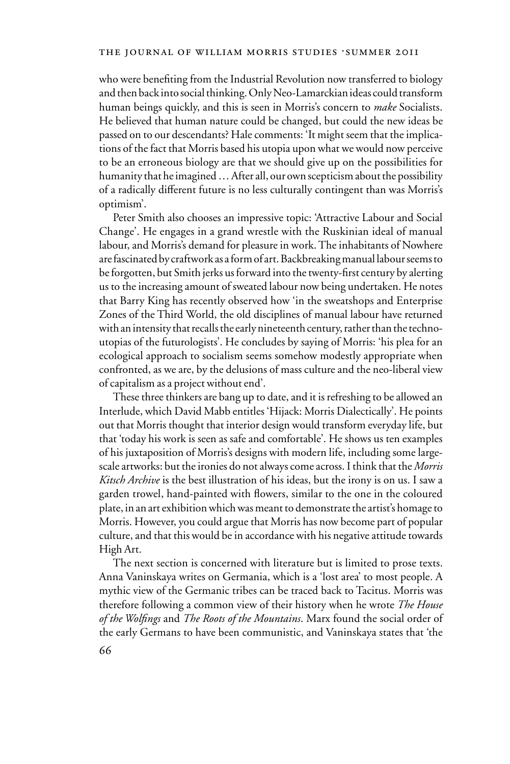who were benefiting from the Industrial Revolution now transferred to biology and then back into social thinking. Only Neo-Lamarckian ideas could transform human beings quickly, and this is seen in Morris's concern to *make* Socialists. He believed that human nature could be changed, but could the new ideas be passed on to our descendants? Hale comments: 'It might seem that the implications of the fact that Morris based his utopia upon what we would now perceive to be an erroneous biology are that we should give up on the possibilities for humanity that he imagined … After all, our own scepticism about the possibility of a radically different future is no less culturally contingent than was Morris's optimism'.

Peter Smith also chooses an impressive topic: 'Attractive Labour and Social Change'. He engages in a grand wrestle with the Ruskinian ideal of manual labour, and Morris's demand for pleasure in work. The inhabitants of Nowhere are fascinated by craftwork as a form of art. Backbreaking manual labour seems to be forgotten, but Smith jerks us forward into the twenty-first century by alerting us to the increasing amount of sweated labour now being undertaken. He notes that Barry King has recently observed how 'in the sweatshops and Enterprise Zones of the Third World, the old disciplines of manual labour have returned with an intensity that recalls the early nineteenth century, rather than the technoutopias of the futurologists'. He concludes by saying of Morris: 'his plea for an ecological approach to socialism seems somehow modestly appropriate when confronted, as we are, by the delusions of mass culture and the neo-liberal view of capitalism as a project without end'.

These three thinkers are bang up to date, and it is refreshing to be allowed an Interlude, which David Mabb entitles 'Hijack: Morris Dialectically'. He points out that Morris thought that interior design would transform everyday life, but that 'today his work is seen as safe and comfortable'. He shows us ten examples of his juxtaposition of Morris's designs with modern life, including some largescale artworks: but the ironies do not always come across. I think that the *Morris Kitsch Archive* is the best illustration of his ideas, but the irony is on us. I saw a garden trowel, hand-painted with flowers, similar to the one in the coloured plate, in an art exhibition which was meant to demonstrate the artist's homage to Morris. However, you could argue that Morris has now become part of popular culture, and that this would be in accordance with his negative attitude towards High Art.

The next section is concerned with literature but is limited to prose texts. Anna Vaninskaya writes on Germania, which is a 'lost area' to most people. A mythic view of the Germanic tribes can be traced back to Tacitus. Morris was therefore following a common view of their history when he wrote *The House of the Wolfings* and *The Roots of the Mountains*. Marx found the social order of the early Germans to have been communistic, and Vaninskaya states that 'the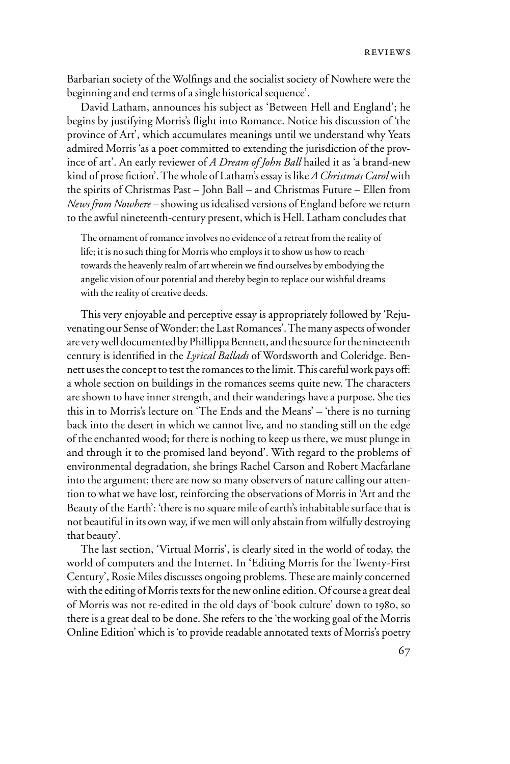Barbarian society of the Wolfings and the socialist society of Nowhere were the beginning and end terms of a single historical sequence'.

David Latham, announces his subject as 'Between Hell and England'; he begins by justifying Morris's flight into Romance. Notice his discussion of 'the province of Art', which accumulates meanings until we understand why Yeats admired Morris 'as a poet committed to extending the jurisdiction of the province of art'. An early reviewer of *A Dream of John Ball* hailed it as 'a brand-new kind of prose fiction'. The whole of Latham's essay is like *A Christmas Carol* with the spirits of Christmas Past – John Ball – and Christmas Future – Ellen from *News from Nowhere* – showing us idealised versions of England before we return to the awful nineteenth-century present, which is Hell. Latham concludes that

The ornament of romance involves no evidence of a retreat from the reality of life; it is no such thing for Morris who employs it to show us how to reach towards the heavenly realm of art wherein we find ourselves by embodying the angelic vision of our potential and thereby begin to replace our wishful dreams with the reality of creative deeds.

This very enjoyable and perceptive essay is appropriately followed by 'Rejuvenating our Sense of Wonder: the Last Romances'. The many aspects of wonder are very well documented by Phillippa Bennett, and the source for the nineteenth century is identified in the *Lyrical Ballads* of Wordsworth and Coleridge. Bennett uses the concept to test the romances to the limit. This careful work pays off: a whole section on buildings in the romances seems quite new. The characters are shown to have inner strength, and their wanderings have a purpose. She ties this in to Morris's lecture on 'The Ends and the Means' – 'there is no turning back into the desert in which we cannot live, and no standing still on the edge of the enchanted wood; for there is nothing to keep us there, we must plunge in and through it to the promised land beyond'. With regard to the problems of environmental degradation, she brings Rachel Carson and Robert Macfarlane into the argument; there are now so many observers of nature calling our attention to what we have lost, reinforcing the observations of Morris in 'Art and the Beauty of the Earth': 'there is no square mile of earth's inhabitable surface that is not beautiful in its own way, if we men will only abstain from wilfully destroying that beauty'.

The last section, 'Virtual Morris', is clearly sited in the world of today, the world of computers and the Internet. In 'Editing Morris for the Twenty-First Century', Rosie Miles discusses ongoing problems. These are mainly concerned with the editing of Morris texts for the new online edition. Of course a great deal of Morris was not re-edited in the old days of 'book culture' down to 1980, so there is a great deal to be done. She refers to the 'the working goal of the Morris Online Edition' which is 'to provide readable annotated texts of Morris's poetry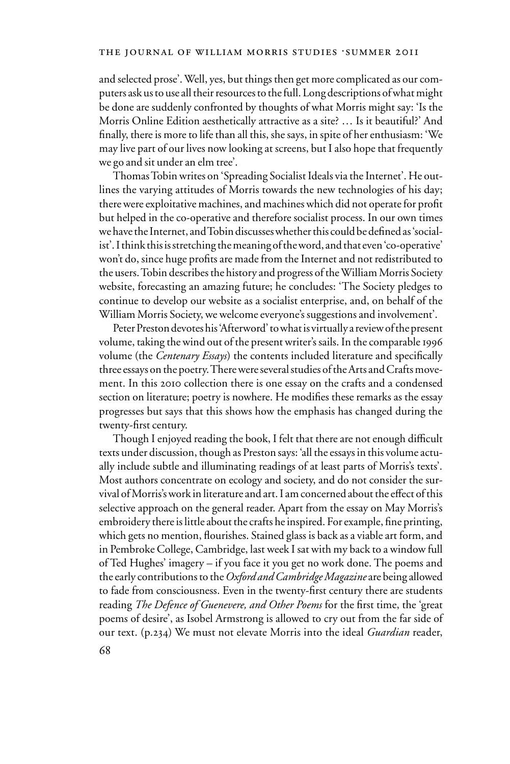## THE JOURNAL OF WILLIAM MORRIS STUDIES .SUMMER 2011

and selected prose'. Well, yes, but things then get more complicated as our computers ask us to use all their resources to the full. Long descriptions of what might be done are suddenly confronted by thoughts of what Morris might say: 'Is the Morris Online Edition aesthetically attractive as a site? … Is it beautiful?' And finally, there is more to life than all this, she says, in spite of her enthusiasm: 'We may live part of our lives now looking at screens, but I also hope that frequently we go and sit under an elm tree'.

Thomas Tobin writes on 'Spreading Socialist Ideals via the Internet'. He outlines the varying attitudes of Morris towards the new technologies of his day; there were exploitative machines, and machines which did not operate for profit but helped in the co-operative and therefore socialist process. In our own times we have the Internet, and Tobin discusses whether this could be defined as 'socialist'. I think this is stretching the meaning of the word, and that even 'co-operative' won't do, since huge profits are made from the Internet and not redistributed to the users. Tobin describes the history and progress of the William Morris Society website, forecasting an amazing future; he concludes: 'The Society pledges to continue to develop our website as a socialist enterprise, and, on behalf of the William Morris Society, we welcome everyone's suggestions and involvement'.

Peter Preston devotes his 'Afterword' to what is virtually a review of the present volume, taking the wind out of the present writer's sails. In the comparable 1996 volume (the *Centenary Essays*) the contents included literature and specifically three essays on the poetry. There were several studies of the Arts and Crafts movement. In this 2010 collection there is one essay on the crafts and a condensed section on literature; poetry is nowhere. He modifies these remarks as the essay progresses but says that this shows how the emphasis has changed during the twenty-first century.

Though I enjoyed reading the book, I felt that there are not enough difficult texts under discussion, though as Preston says: 'all the essays in this volume actually include subtle and illuminating readings of at least parts of Morris's texts'. Most authors concentrate on ecology and society, and do not consider the survival of Morris's work in literature and art. I am concerned about the effect of this selective approach on the general reader. Apart from the essay on May Morris's embroidery there is little about the crafts he inspired. For example, fine printing, which gets no mention, flourishes. Stained glass is back as a viable art form, and in Pembroke College, Cambridge, last week I sat with my back to a window full of Ted Hughes' imagery – if you face it you get no work done. The poems and the early contributions to the *Oxford and Cambridge Magazine* are being allowed to fade from consciousness. Even in the twenty-first century there are students reading *The Defence of Guenevere, and Other Poems* for the first time, the 'great poems of desire', as Isobel Armstrong is allowed to cry out from the far side of our text. (p.234) We must not elevate Morris into the ideal *Guardian* reader,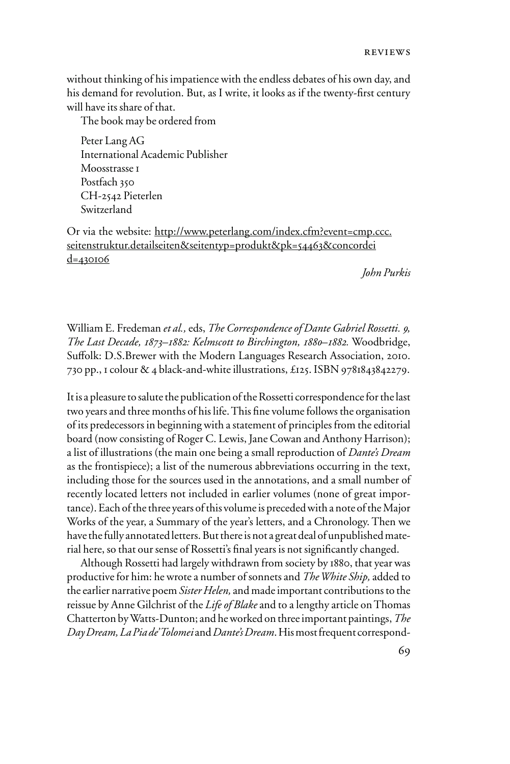without thinking of his impatience with the endless debates of his own day, and his demand for revolution. But, as I write, it looks as if the twenty-first century will have its share of that.

The book may be ordered from

Peter Lang AG International Academic Publisher Moosstrasse 1 Postfach 350 CH-2542 Pieterlen Switzerland

Or via the website: http://www.peterlang.com/index.cfm?event=cmp.ccc. seitenstruktur.detailseiten&seitentyp=produkt&pk=54463&concordei d=430106

*John Purkis*

William E. Fredeman *et al.,* eds, *The Correspondence of Dante Gabriel Rossetti. 9, The Last Decade, 1873–1882: Kelmscott to Birchington, 1880–1882.* Woodbridge, Suffolk: D.S.Brewer with the Modern Languages Research Association, 2010. 730 pp., 1 colour & 4 black-and-white illustrations, £125. ISBN 9781843842279.

It is a pleasure to salute the publication of the Rossetti correspondence for the last two years and three months of his life. This fine volume follows the organisation of its predecessors in beginning with a statement of principles from the editorial board (now consisting of Roger C. Lewis, Jane Cowan and Anthony Harrison); a list of illustrations (the main one being a small reproduction of *Dante's Dream*  as the frontispiece); a list of the numerous abbreviations occurring in the text, including those for the sources used in the annotations, and a small number of recently located letters not included in earlier volumes (none of great importance). Each of the three years of this volume is preceded with a note of the Major Works of the year, a Summary of the year's letters, and a Chronology. Then we have the fully annotated letters. But there is not a great deal of unpublished material here, so that our sense of Rossetti's final years is not significantly changed.

Although Rossetti had largely withdrawn from society by 1880, that year was productive for him: he wrote a number of sonnets and *The White Ship,* added to the earlier narrative poem *Sister Helen,* and made important contributions to the reissue by Anne Gilchrist of the *Life of Blake* and to a lengthy article on Thomas Chatterton by Watts-Dunton; and he worked on three important paintings, *The Day Dream, La Pia de' Tolomei* and *Dante's Dream*. His most frequent correspond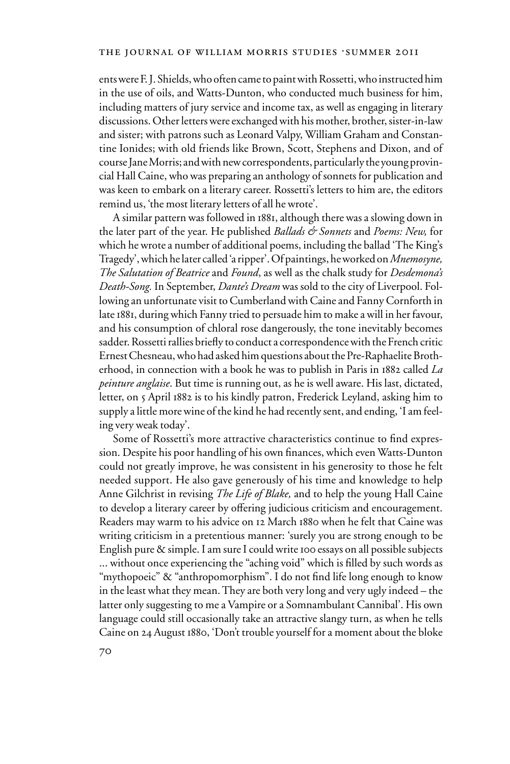ents were F. J. Shields, who often came to paint with Rossetti, who instructed him in the use of oils, and Watts-Dunton, who conducted much business for him, including matters of jury service and income tax, as well as engaging in literary discussions. Other letters were exchanged with his mother, brother, sister-in-law and sister; with patrons such as Leonard Valpy, William Graham and Constantine Ionides; with old friends like Brown, Scott, Stephens and Dixon, and of course Jane Morris; and with new correspondents, particularly the young provincial Hall Caine, who was preparing an anthology of sonnets for publication and was keen to embark on a literary career. Rossetti's letters to him are, the editors remind us, 'the most literary letters of all he wrote'.

A similar pattern was followed in 1881, although there was a slowing down in the later part of the year. He published *Ballads & Sonnets* and *Poems: New,* for which he wrote a number of additional poems, including the ballad 'The King's Tragedy', which he later called 'a ripper'. Of paintings, he worked on *Mnemosyne, The Salutation of Beatrice* and *Found*, as well as the chalk study for *Desdemona's Death-Song.* In September, *Dante's Dream* was sold to the city of Liverpool. Following an unfortunate visit to Cumberland with Caine and Fanny Cornforth in late 1881, during which Fanny tried to persuade him to make a will in her favour, and his consumption of chloral rose dangerously, the tone inevitably becomes sadder. Rossetti rallies briefly to conduct a correspondence with the French critic Ernest Chesneau, who had asked him questions about the Pre-Raphaelite Brotherhood, in connection with a book he was to publish in Paris in 1882 called *La peinture anglaise*. But time is running out, as he is well aware. His last, dictated, letter, on 5 April 1882 is to his kindly patron, Frederick Leyland, asking him to supply a little more wine of the kind he had recently sent, and ending, 'I am feeling very weak today'.

Some of Rossetti's more attractive characteristics continue to find expression. Despite his poor handling of his own finances, which even Watts-Dunton could not greatly improve, he was consistent in his generosity to those he felt needed support. He also gave generously of his time and knowledge to help Anne Gilchrist in revising *The Life of Blake,* and to help the young Hall Caine to develop a literary career by offering judicious criticism and encouragement. Readers may warm to his advice on 12 March 1880 when he felt that Caine was writing criticism in a pretentious manner: 'surely you are strong enough to be English pure & simple. I am sure I could write 100 essays on all possible subjects ... without once experiencing the "aching void" which is filled by such words as "mythopoeic" & "anthropomorphism". I do not find life long enough to know in the least what they mean. They are both very long and very ugly indeed – the latter only suggesting to me a Vampire or a Somnambulant Cannibal'. His own language could still occasionally take an attractive slangy turn, as when he tells Caine on 24 August 1880, 'Don't trouble yourself for a moment about the bloke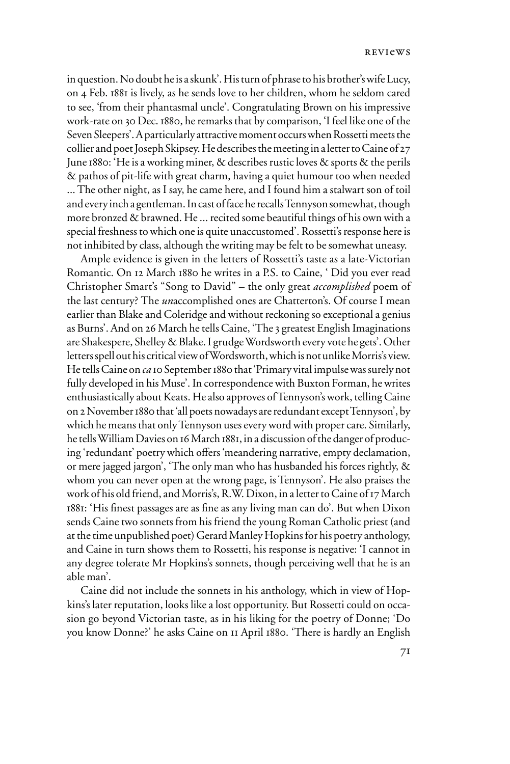in question. No doubt he is a skunk'. His turn of phrase to his brother's wife Lucy, on 4 Feb. 1881 is lively, as he sends love to her children, whom he seldom cared to see, 'from their phantasmal uncle'. Congratulating Brown on his impressive work-rate on 30 Dec. 1880, he remarks that by comparison, 'I feel like one of the Seven Sleepers'. A particularly attractive moment occurs when Rossetti meets the collier and poet Joseph Skipsey. He describes the meeting in a letter to Caine of 27 June 1880: 'He is a working miner, & describes rustic loves & sports & the perils & pathos of pit-life with great charm, having a quiet humour too when needed ... The other night, as I say, he came here, and I found him a stalwart son of toil and every inch a gentleman. In cast of face he recalls Tennyson somewhat, though more bronzed & brawned. He ... recited some beautiful things of his own with a special freshness to which one is quite unaccustomed'. Rossetti's response here is not inhibited by class, although the writing may be felt to be somewhat uneasy.

Ample evidence is given in the letters of Rossetti's taste as a late-Victorian Romantic. On 12 March 1880 he writes in a P.S. to Caine, ' Did you ever read Christopher Smart's "Song to David" – the only great *accomplished* poem of the last century? The *un*accomplished ones are Chatterton's. Of course I mean earlier than Blake and Coleridge and without reckoning so exceptional a genius as Burns'. And on 26 March he tells Caine, 'The 3 greatest English Imaginations are Shakespere, Shelley & Blake. I grudge Wordsworth every vote he gets'. Other letters spell out his critical view of Wordsworth, which is not unlike Morris's view. He tells Caine on *ca* 10 September 1880 that 'Primary vital impulse was surely not fully developed in his Muse'. In correspondence with Buxton Forman, he writes enthusiastically about Keats. He also approves of Tennyson's work, telling Caine on 2 November 1880 that 'all poets nowadays are redundant except Tennyson', by which he means that only Tennyson uses every word with proper care. Similarly, he tells William Davies on 16 March 1881, in a discussion of the danger of producing 'redundant' poetry which offers 'meandering narrative, empty declamation, or mere jagged jargon', 'The only man who has husbanded his forces rightly, & whom you can never open at the wrong page, is Tennyson'. He also praises the work of his old friend, and Morris's, R.W. Dixon, in a letter to Caine of 17 March 1881: 'His finest passages are as fine as any living man can do'. But when Dixon sends Caine two sonnets from his friend the young Roman Catholic priest (and at the time unpublished poet) Gerard Manley Hopkins for his poetry anthology, and Caine in turn shows them to Rossetti, his response is negative: 'I cannot in any degree tolerate Mr Hopkins's sonnets, though perceiving well that he is an able man'.

Caine did not include the sonnets in his anthology, which in view of Hopkins's later reputation, looks like a lost opportunity. But Rossetti could on occasion go beyond Victorian taste, as in his liking for the poetry of Donne; 'Do you know Donne?' he asks Caine on 11 April 1880. 'There is hardly an English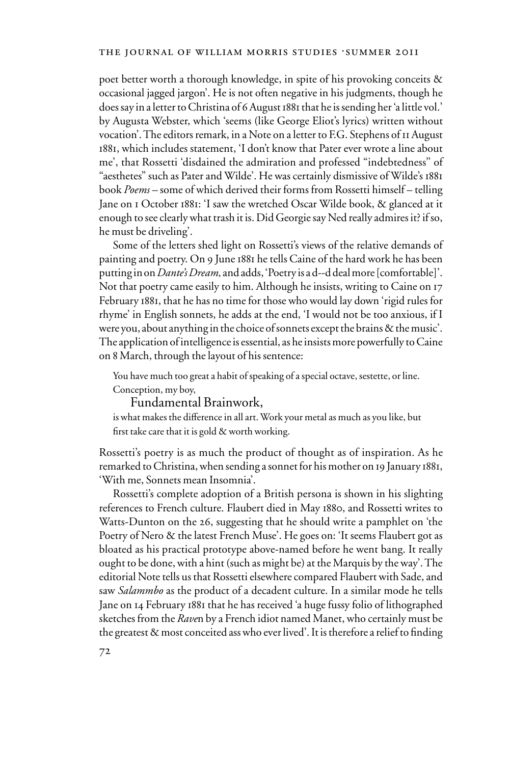poet better worth a thorough knowledge, in spite of his provoking conceits & occasional jagged jargon'. He is not often negative in his judgments, though he does say in a letter to Christina of 6 August 1881 that he is sending her 'a little vol.' by Augusta Webster, which 'seems (like George Eliot's lyrics) written without vocation'. The editors remark, in a Note on a letter to F.G. Stephens of 11 August 1881, which includes statement, 'I don't know that Pater ever wrote a line about me', that Rossetti 'disdained the admiration and professed "indebtedness'' of "aesthetes" such as Pater and Wilde'. He was certainly dismissive of Wilde's 1881 book *Poems –* some of which derived their forms from Rossetti himself – telling Jane on 1 October 1881: 'I saw the wretched Oscar Wilde book, & glanced at it enough to see clearly what trash it is. Did Georgie say Ned really admires it? if so, he must be driveling'.

Some of the letters shed light on Rossetti's views of the relative demands of painting and poetry. On 9 June 1881 he tells Caine of the hard work he has been putting in on *Dante's Dream,* and adds, 'Poetry is a d--d deal more [comfortable]'. Not that poetry came easily to him. Although he insists, writing to Caine on 17 February 1881, that he has no time for those who would lay down 'rigid rules for rhyme' in English sonnets, he adds at the end, 'I would not be too anxious, if I were you, about anything in the choice of sonnets except the brains & the music'. The application of intelligence is essential, as he insists more powerfully to Caine on 8 March, through the layout of his sentence:

You have much too great a habit of speaking of a special octave, sestette, or line. Conception, my boy,

Fundamental Brainwork,

is what makes the difference in all art. Work your metal as much as you like, but first take care that it is gold  $&$  worth working.

Rossetti's poetry is as much the product of thought as of inspiration. As he remarked to Christina, when sending a sonnet for his mother on 19 January 1881, 'With me, Sonnets mean Insomnia'.

Rossetti's complete adoption of a British persona is shown in his slighting references to French culture. Flaubert died in May 1880, and Rossetti writes to Watts-Dunton on the 26, suggesting that he should write a pamphlet on 'the Poetry of Nero & the latest French Muse'. He goes on: 'It seems Flaubert got as bloated as his practical prototype above-named before he went bang. It really ought to be done, with a hint (such as might be) at the Marquis by the way'. The editorial Note tells us that Rossetti elsewhere compared Flaubert with Sade, and saw *Salammbo* as the product of a decadent culture. In a similar mode he tells Jane on 14 February 1881 that he has received 'a huge fussy folio of lithographed sketches from the *Rave*n by a French idiot named Manet, who certainly must be the greatest  $\&$  most conceited ass who ever lived'. It is therefore a relief to finding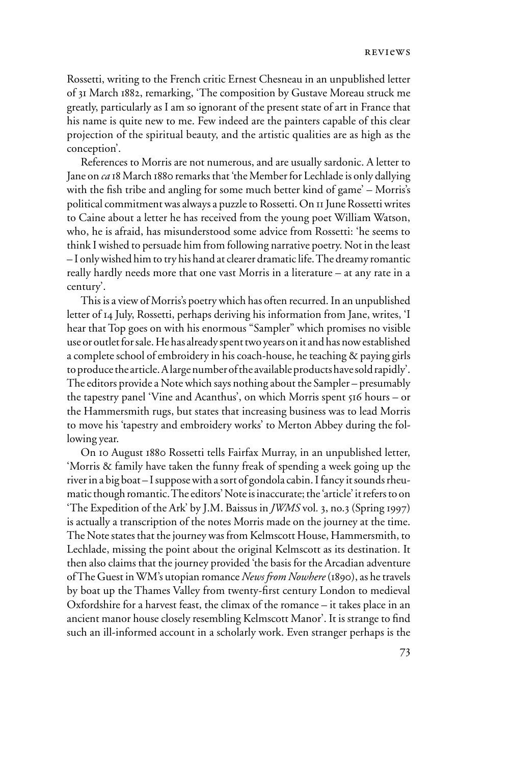Rossetti, writing to the French critic Ernest Chesneau in an unpublished letter of 31 March 1882, remarking, 'The composition by Gustave Moreau struck me greatly, particularly as I am so ignorant of the present state of art in France that his name is quite new to me. Few indeed are the painters capable of this clear projection of the spiritual beauty, and the artistic qualities are as high as the conception'.

References to Morris are not numerous, and are usually sardonic. A letter to Jane on *ca* 18 March 1880 remarks that 'the Member for Lechlade is only dallying with the fish tribe and angling for some much better kind of game' – Morris's political commitment was always a puzzle to Rossetti. On 11 June Rossetti writes to Caine about a letter he has received from the young poet William Watson, who, he is afraid, has misunderstood some advice from Rossetti: 'he seems to think I wished to persuade him from following narrative poetry. Not in the least – I only wished him to try his hand at clearer dramatic life. The dreamy romantic really hardly needs more that one vast Morris in a literature – at any rate in a century'.

This is a view of Morris's poetry which has often recurred. In an unpublished letter of 14 July, Rossetti, perhaps deriving his information from Jane, writes, 'I hear that Top goes on with his enormous "Sampler" which promises no visible use or outlet for sale. He has already spent two years on it and has now established a complete school of embroidery in his coach-house, he teaching & paying girls to produce the article. A large number of the available products have sold rapidly'. The editors provide a Note which says nothing about the Sampler – presumably the tapestry panel 'Vine and Acanthus', on which Morris spent 516 hours – or the Hammersmith rugs, but states that increasing business was to lead Morris to move his 'tapestry and embroidery works' to Merton Abbey during the following year.

On 10 August 1880 Rossetti tells Fairfax Murray, in an unpublished letter, 'Morris & family have taken the funny freak of spending a week going up the river in a big boat – I suppose with a sort of gondola cabin. I fancy it sounds rheumatic though romantic. The editors' Note is inaccurate; the 'article' it refers to on 'The Expedition of the Ark' by J.M. Baissus in *JWMS* vol*.* 3, no.3 (Spring 1997) is actually a transcription of the notes Morris made on the journey at the time. The Note states that the journey was from Kelmscott House, Hammersmith, to Lechlade, missing the point about the original Kelmscott as its destination. It then also claims that the journey provided 'the basis for the Arcadian adventure of The Guest in WM's utopian romance *News from Nowhere* (1890), as he travels by boat up the Thames Valley from twenty-first century London to medieval Oxfordshire for a harvest feast, the climax of the romance – it takes place in an ancient manor house closely resembling Kelmscott Manor'. It is strange to find such an ill-informed account in a scholarly work. Even stranger perhaps is the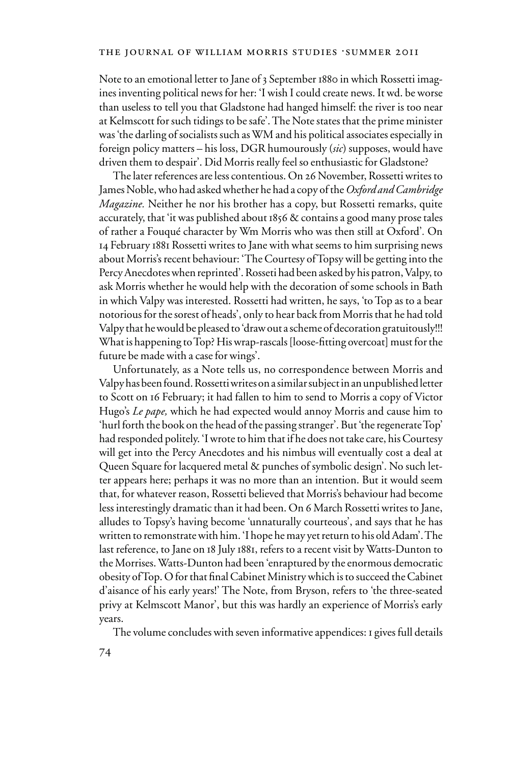Note to an emotional letter to Jane of 3 September 1880 in which Rossetti imagines inventing political news for her: 'I wish I could create news. It wd. be worse than useless to tell you that Gladstone had hanged himself: the river is too near at Kelmscott for such tidings to be safe'. The Note states that the prime minister was 'the darling of socialists such as WM and his political associates especially in foreign policy matters – his loss, DGR humourously (*sic*) supposes, would have driven them to despair'. Did Morris really feel so enthusiastic for Gladstone?

The later references are less contentious. On 26 November, Rossetti writes to James Noble, who had asked whether he had a copy of the *Oxford and Cambridge Magazine.* Neither he nor his brother has a copy, but Rossetti remarks, quite accurately, that 'it was published about 1856 & contains a good many prose tales of rather a Fouqué character by Wm Morris who was then still at Oxford'*.* On 14 February 1881 Rossetti writes to Jane with what seems to him surprising news about Morris's recent behaviour: 'The Courtesy of Topsy will be getting into the Percy Anecdotes when reprinted'. Rosseti had been asked by his patron, Valpy, to ask Morris whether he would help with the decoration of some schools in Bath in which Valpy was interested. Rossetti had written, he says, 'to Top as to a bear notorious for the sorest of heads', only to hear back from Morris that he had told Valpy that he would be pleased to 'draw out a scheme of decoration gratuitously!!! What is happening to Top? His wrap-rascals [loose-fitting overcoat] must for the future be made with a case for wings'.

Unfortunately, as a Note tells us, no correspondence between Morris and Valpy has been found. Rossetti writes on a similar subject in an unpublished letter to Scott on 16 February; it had fallen to him to send to Morris a copy of Victor Hugo's *Le pape,* which he had expected would annoy Morris and cause him to 'hurl forth the book on the head of the passing stranger'. But 'the regenerate Top' had responded politely. 'I wrote to him that if he does not take care, his Courtesy will get into the Percy Anecdotes and his nimbus will eventually cost a deal at Queen Square for lacquered metal & punches of symbolic design'. No such letter appears here; perhaps it was no more than an intention. But it would seem that, for whatever reason, Rossetti believed that Morris's behaviour had become less interestingly dramatic than it had been. On 6 March Rossetti writes to Jane, alludes to Topsy's having become 'unnaturally courteous', and says that he has written to remonstrate with him. 'I hope he may yet return to his old Adam'. The last reference, to Jane on 18 July 1881, refers to a recent visit by Watts-Dunton to the Morrises. Watts-Dunton had been 'enraptured by the enormous democratic obesity of Top. O for that final Cabinet Ministry which is to succeed the Cabinet d'aisance of his early years!' The Note, from Bryson, refers to 'the three-seated privy at Kelmscott Manor', but this was hardly an experience of Morris's early years.

The volume concludes with seven informative appendices: 1 gives full details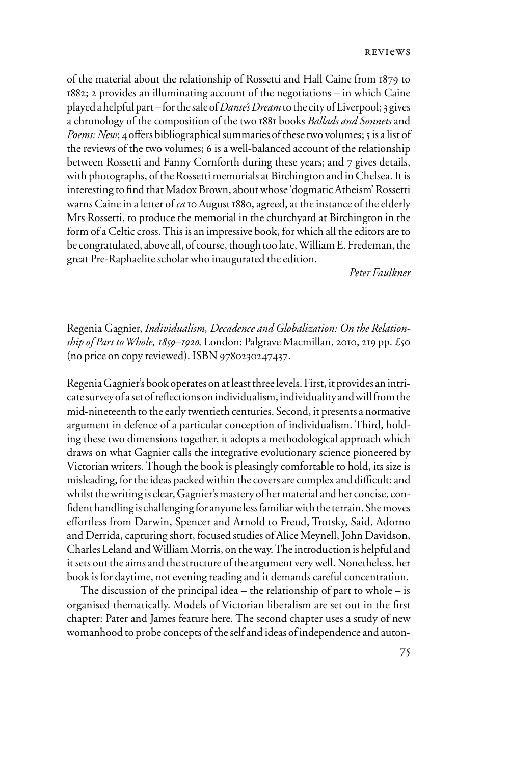reviews

of the material about the relationship of Rossetti and Hall Caine from 1879 to 1882; 2 provides an illuminating account of the negotiations – in which Caine played a helpful part – for the sale of *Dante's Dream* to the city of Liverpool; 3 gives a chronology of the composition of the two 1881 books *Ballads and Sonnets* and *Poems: New*; 4 offers bibliographical summaries of these two volumes; 5 is a list of the reviews of the two volumes; 6 is a well-balanced account of the relationship between Rossetti and Fanny Cornforth during these years; and 7 gives details, with photographs, of the Rossetti memorials at Birchington and in Chelsea. It is interesting to find that Madox Brown, about whose 'dogmatic Atheism' Rossetti warns Caine in a letter of *ca* 10 August 1880, agreed, at the instance of the elderly Mrs Rossetti, to produce the memorial in the churchyard at Birchington in the form of a Celtic cross. This is an impressive book, for which all the editors are to be congratulated, above all, of course, though too late, William E. Fredeman, the great Pre-Raphaelite scholar who inaugurated the edition.

 *Peter Faulkner* 

Regenia Gagnier, *Individualism, Decadence and Globalization: On the Relationship of Part to Whole, 1859–1920,* London: Palgrave Macmillan, 2010, 219 pp. £50 (no price on copy reviewed). ISBN 9780230247437.

Regenia Gagnier's book operates on at least three levels. First, it provides an intricate survey of a set of reflections on individualism, individuality and will from the mid-nineteenth to the early twentieth centuries. Second, it presents a normative argument in defence of a particular conception of individualism. Third, holding these two dimensions together, it adopts a methodological approach which draws on what Gagnier calls the integrative evolutionary science pioneered by Victorian writers. Though the book is pleasingly comfortable to hold, its size is misleading, for the ideas packed within the covers are complex and difficult; and whilst the writing is clear, Gagnier's mastery of her material and her concise, confident handling is challenging for anyone less familiar with the terrain. She moves effortless from Darwin, Spencer and Arnold to Freud, Trotsky, Said, Adorno and Derrida, capturing short, focused studies of Alice Meynell, John Davidson, Charles Leland and William Morris, on the way. The introduction is helpful and it sets out the aims and the structure of the argument very well. Nonetheless, her book is for daytime, not evening reading and it demands careful concentration.

The discussion of the principal idea – the relationship of part to whole – is organised thematically. Models of Victorian liberalism are set out in the first chapter: Pater and James feature here. The second chapter uses a study of new womanhood to probe concepts of the self and ideas of independence and auton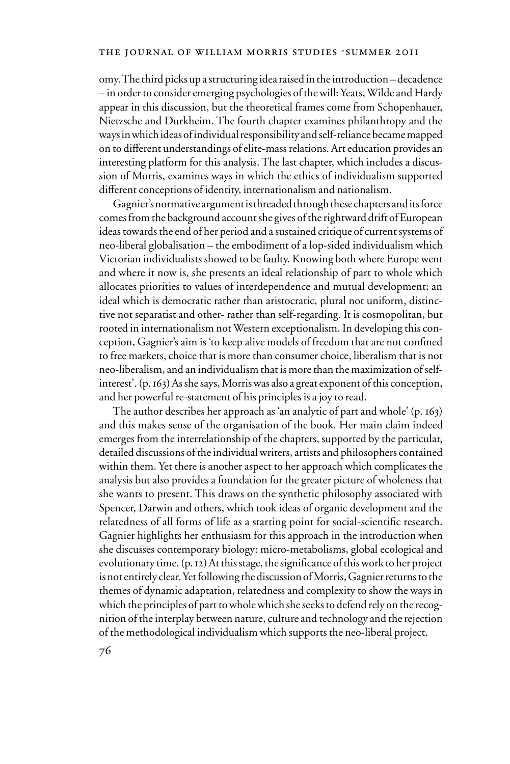omy. The third picks up a structuring idea raised in the introduction – decadence – in order to consider emerging psychologies of the will: Yeats, Wilde and Hardy appear in this discussion, but the theoretical frames come from Schopenhauer, Nietzsche and Durkheim. The fourth chapter examines philanthropy and the ways in which ideas of individual responsibility and self-reliance became mapped on to different understandings of elite-mass relations. Art education provides an interesting platform for this analysis. The last chapter, which includes a discussion of Morris, examines ways in which the ethics of individualism supported different conceptions of identity, internationalism and nationalism.

Gagnier's normative argument is threaded through these chapters and its force comes from the background account she gives of the rightward drift of European ideas towards the end of her period and a sustained critique of current systems of neo-liberal globalisation – the embodiment of a lop-sided individualism which Victorian individualists showed to be faulty. Knowing both where Europe went and where it now is, she presents an ideal relationship of part to whole which allocates priorities to values of interdependence and mutual development; an ideal which is democratic rather than aristocratic, plural not uniform, distinctive not separatist and other- rather than self-regarding. It is cosmopolitan, but rooted in internationalism not Western exceptionalism. In developing this conception, Gagnier's aim is 'to keep alive models of freedom that are not confined to free markets, choice that is more than consumer choice, liberalism that is not neo-liberalism, and an individualism that is more than the maximization of selfinterest'. (p. 163) As she says, Morris was also a great exponent of this conception, and her powerful re-statement of his principles is a joy to read.

The author describes her approach as 'an analytic of part and whole' (p. 163) and this makes sense of the organisation of the book. Her main claim indeed emerges from the interrelationship of the chapters, supported by the particular, detailed discussions of the individual writers, artists and philosophers contained within them. Yet there is another aspect to her approach which complicates the analysis but also provides a foundation for the greater picture of wholeness that she wants to present. This draws on the synthetic philosophy associated with Spencer, Darwin and others, which took ideas of organic development and the relatedness of all forms of life as a starting point for social-scientific research. Gagnier highlights her enthusiasm for this approach in the introduction when she discusses contemporary biology: micro-metabolisms, global ecological and evolutionary time. (p. 12) At this stage, the significance of this work to her project is not entirely clear. Yet following the discussion of Morris, Gagnier returns to the themes of dynamic adaptation, relatedness and complexity to show the ways in which the principles of part to whole which she seeks to defend rely on the recognition of the interplay between nature, culture and technology and the rejection of the methodological individualism which supports the neo-liberal project.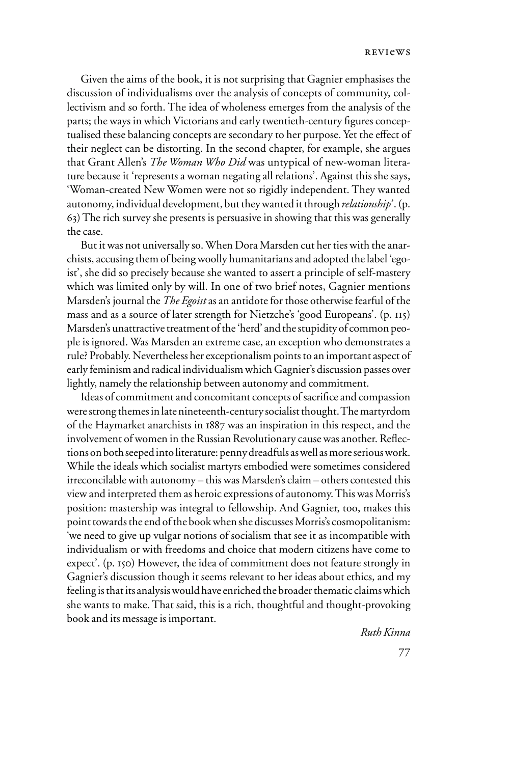Given the aims of the book, it is not surprising that Gagnier emphasises the discussion of individualisms over the analysis of concepts of community, collectivism and so forth. The idea of wholeness emerges from the analysis of the parts; the ways in which Victorians and early twentieth-century figures conceptualised these balancing concepts are secondary to her purpose. Yet the effect of their neglect can be distorting. In the second chapter, for example, she argues that Grant Allen's *The Woman Who Did* was untypical of new-woman literature because it 'represents a woman negating all relations'. Against this she says, 'Woman-created New Women were not so rigidly independent. They wanted autonomy, individual development, but they wanted it through *relationship'* . (p. 63) The rich survey she presents is persuasive in showing that this was generally the case.

But it was not universally so. When Dora Marsden cut her ties with the anarchists, accusing them of being woolly humanitarians and adopted the label 'egoist', she did so precisely because she wanted to assert a principle of self-mastery which was limited only by will. In one of two brief notes, Gagnier mentions Marsden's journal the *The Egoist* as an antidote for those otherwise fearful of the mass and as a source of later strength for Nietzche's 'good Europeans'. (p. 115) Marsden's unattractive treatment of the 'herd' and the stupidity of common people is ignored. Was Marsden an extreme case, an exception who demonstrates a rule? Probably. Nevertheless her exceptionalism points to an important aspect of early feminism and radical individualism which Gagnier's discussion passes over lightly, namely the relationship between autonomy and commitment.

Ideas of commitment and concomitant concepts of sacrifice and compassion were strong themes in late nineteenth-century socialist thought. The martyrdom of the Haymarket anarchists in 1887 was an inspiration in this respect, and the involvement of women in the Russian Revolutionary cause was another. Reflections on both seeped into literature: penny dreadfuls as well as more serious work. While the ideals which socialist martyrs embodied were sometimes considered irreconcilable with autonomy – this was Marsden's claim – others contested this view and interpreted them as heroic expressions of autonomy. This was Morris's position: mastership was integral to fellowship. And Gagnier, too, makes this point towards the end of the book when she discusses Morris's cosmopolitanism: 'we need to give up vulgar notions of socialism that see it as incompatible with individualism or with freedoms and choice that modern citizens have come to expect'. (p. 150) However, the idea of commitment does not feature strongly in Gagnier's discussion though it seems relevant to her ideas about ethics, and my feeling is that its analysis would have enriched the broader thematic claims which she wants to make. That said, this is a rich, thoughtful and thought-provoking book and its message is important.

*Ruth Kinna*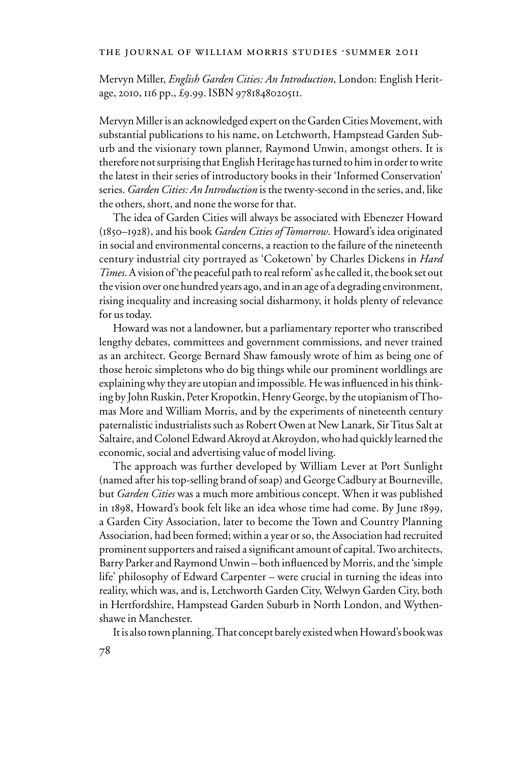# THE JOURNAL OF WILLIAM MORRIS STUDIES .SUMMER 2011

Mervyn Miller, *English Garden Cities: An Introduction*, London: English Heritage, 2010, 116 pp., £9.99. ISBN 9781848020511.

Mervyn Miller is an acknowledged expert on the Garden Cities Movement, with substantial publications to his name, on Letchworth, Hampstead Garden Suburb and the visionary town planner, Raymond Unwin, amongst others. It is therefore not surprising that English Heritage has turned to him in order to write the latest in their series of introductory books in their 'Informed Conservation' series. *Garden Cities: An Introduction* is the twenty-second in the series, and, like the others, short, and none the worse for that.

The idea of Garden Cities will always be associated with Ebenezer Howard (1850–1928), and his book *Garden Cities of Tomorrow*. Howard's idea originated in social and environmental concerns, a reaction to the failure of the nineteenth century industrial city portrayed as 'Coketown' by Charles Dickens in *Hard Times*. A vision of 'the peaceful path to real reform' as he called it, the book set out the vision over one hundred years ago, and in an age of a degrading environment, rising inequality and increasing social disharmony, it holds plenty of relevance for us today.

Howard was not a landowner, but a parliamentary reporter who transcribed lengthy debates, committees and government commissions, and never trained as an architect. George Bernard Shaw famously wrote of him as being one of those heroic simpletons who do big things while our prominent worldlings are explaining why they are utopian and impossible. He was influenced in his thinking by John Ruskin, Peter Kropotkin, Henry George, by the utopianism of Thomas More and William Morris, and by the experiments of nineteenth century paternalistic industrialists such as Robert Owen at New Lanark, Sir Titus Salt at Saltaire, and Colonel Edward Akroyd at Akroydon, who had quickly learned the economic, social and advertising value of model living.

The approach was further developed by William Lever at Port Sunlight (named after his top-selling brand of soap) and George Cadbury at Bourneville, but *Garden Cities* was a much more ambitious concept. When it was published in 1898, Howard's book felt like an idea whose time had come. By June 1899, a Garden City Association, later to become the Town and Country Planning Association, had been formed; within a year or so, the Association had recruited prominent supporters and raised a significant amount of capital. Two architects, Barry Parker and Raymond Unwin – both influenced by Morris, and the 'simple life' philosophy of Edward Carpenter – were crucial in turning the ideas into reality, which was, and is, Letchworth Garden City, Welwyn Garden City, both in Hertfordshire, Hampstead Garden Suburb in North London, and Wythenshawe in Manchester.

It is also town planning. That concept barely existed when Howard's book was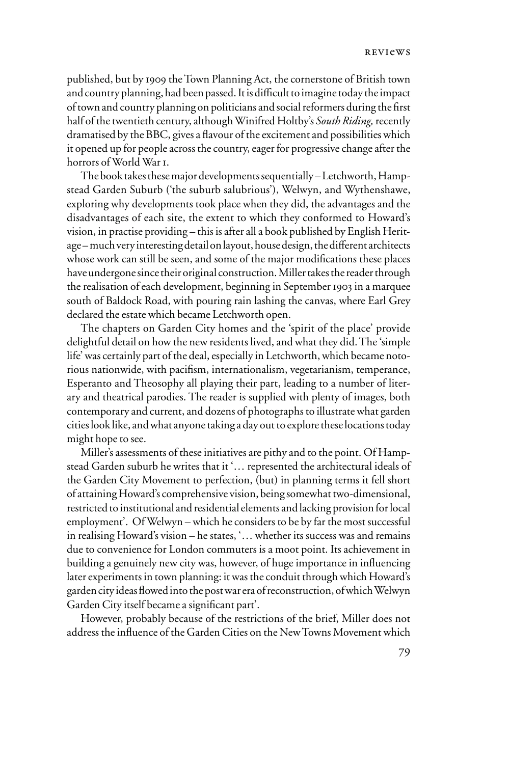published, but by 1909 the Town Planning Act, the cornerstone of British town and country planning, had been passed. It is difficult to imagine today the impact of town and country planning on politicians and social reformers during the first half of the twentieth century, although Winifred Holtby's *South Riding,* recently dramatised by the BBC, gives a flavour of the excitement and possibilities which it opened up for people across the country, eager for progressive change after the horrors of World War L.

The book takes these major developments sequentially – Letchworth, Hampstead Garden Suburb ('the suburb salubrious'), Welwyn, and Wythenshawe, exploring why developments took place when they did, the advantages and the disadvantages of each site, the extent to which they conformed to Howard's vision, in practise providing – this is after all a book published by English Heritage – much very interesting detail on layout, house design, the different architects whose work can still be seen, and some of the major modifications these places have undergone since their original construction. Miller takes the reader through the realisation of each development, beginning in September 1903 in a marquee south of Baldock Road, with pouring rain lashing the canvas, where Earl Grey declared the estate which became Letchworth open.

The chapters on Garden City homes and the 'spirit of the place' provide delightful detail on how the new residents lived, and what they did. The 'simple life' was certainly part of the deal, especially in Letchworth, which became notorious nationwide, with pacifism, internationalism, vegetarianism, temperance, Esperanto and Theosophy all playing their part, leading to a number of literary and theatrical parodies. The reader is supplied with plenty of images, both contemporary and current, and dozens of photographs to illustrate what garden cities look like, and what anyone taking a day out to explore these locations today might hope to see.

Miller's assessments of these initiatives are pithy and to the point. Of Hampstead Garden suburb he writes that it '… represented the architectural ideals of the Garden City Movement to perfection, (but) in planning terms it fell short of attaining Howard's comprehensive vision, being somewhat two-dimensional, restricted to institutional and residential elements and lacking provision for local employment'. Of Welwyn – which he considers to be by far the most successful in realising Howard's vision – he states, '… whether its success was and remains due to convenience for London commuters is a moot point. Its achievement in building a genuinely new city was, however, of huge importance in influencing later experiments in town planning: it was the conduit through which Howard's garden city ideas flowed into the post war era of reconstruction, of which Welwyn Garden City itself became a significant part'.

However, probably because of the restrictions of the brief, Miller does not address the influence of the Garden Cities on the New Towns Movement which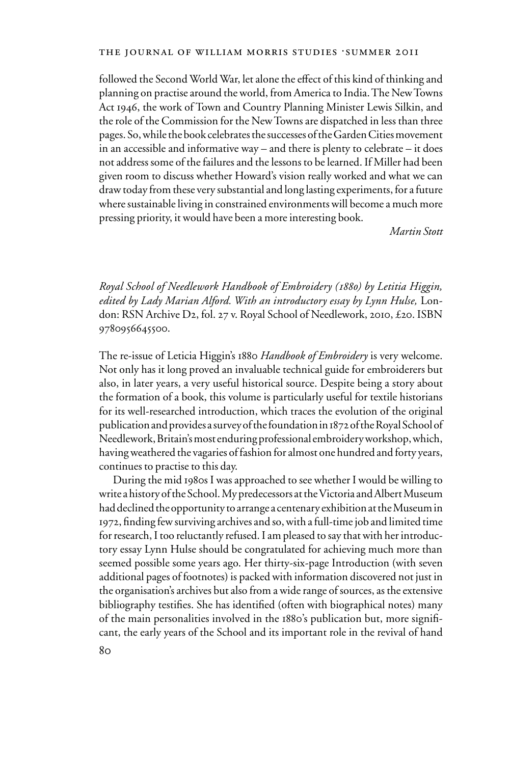## THE JOURNAL OF WILLIAM MORRIS STUDIES .SUMMER 2011

followed the Second World War, let alone the effect of this kind of thinking and planning on practise around the world, from America to India. The New Towns Act 1946, the work of Town and Country Planning Minister Lewis Silkin, and the role of the Commission for the New Towns are dispatched in less than three pages. So, while the book celebrates the successes of the Garden Cities movement in an accessible and informative way – and there is plenty to celebrate – it does not address some of the failures and the lessons to be learned. If Miller had been given room to discuss whether Howard's vision really worked and what we can draw today from these very substantial and long lasting experiments, for a future where sustainable living in constrained environments will become a much more pressing priority, it would have been a more interesting book.

*Martin Stott*

*Royal School of Needlework Handbook of Embroidery (1880) by Letitia Higgin,*  edited by Lady Marian Alford. With an introductory essay by Lynn Hulse, London: RSN Archive D2, fol. 27 v. Royal School of Needlework, 2010, £20. ISBN 9780956645500.

The re-issue of Leticia Higgin's 1880 *Handbook of Embroidery* is very welcome. Not only has it long proved an invaluable technical guide for embroiderers but also, in later years, a very useful historical source. Despite being a story about the formation of a book, this volume is particularly useful for textile historians for its well-researched introduction, which traces the evolution of the original publication and provides a survey of the foundation in 1872 of the Royal School of Needlework, Britain's most enduring professional embroidery workshop, which, having weathered the vagaries of fashion for almost one hundred and forty years, continues to practise to this day.

During the mid 1980s I was approached to see whether I would be willing to write a history of the School. My predecessors at the Victoria and Albert Museum had declined the opportunity to arrange a centenary exhibition at the Museum in 1972, finding few surviving archives and so, with a full-time job and limited time for research, I too reluctantly refused. I am pleased to say that with her introductory essay Lynn Hulse should be congratulated for achieving much more than seemed possible some years ago. Her thirty-six-page Introduction (with seven additional pages of footnotes) is packed with information discovered not just in the organisation's archives but also from a wide range of sources, as the extensive bibliography testifies. She has identified (often with biographical notes) many of the main personalities involved in the 1880's publication but, more significant, the early years of the School and its important role in the revival of hand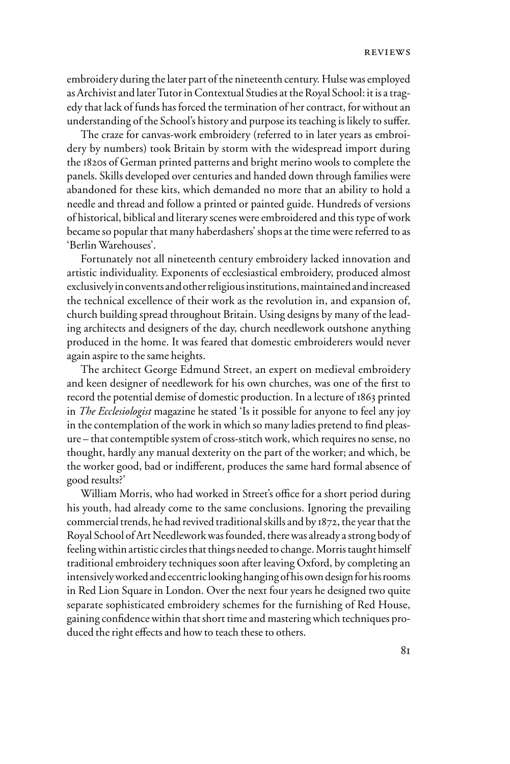embroidery during the later part of the nineteenth century. Hulse was employed as Archivist and later Tutor in Contextual Studies at the Royal School: it is a tragedy that lack of funds has forced the termination of her contract, for without an understanding of the School's history and purpose its teaching is likely to suffer.

The craze for canvas-work embroidery (referred to in later years as embroidery by numbers) took Britain by storm with the widespread import during the 1820s of German printed patterns and bright merino wools to complete the panels. Skills developed over centuries and handed down through families were abandoned for these kits, which demanded no more that an ability to hold a needle and thread and follow a printed or painted guide. Hundreds of versions of historical, biblical and literary scenes were embroidered and this type of work became so popular that many haberdashers' shops at the time were referred to as 'Berlin Warehouses'.

Fortunately not all nineteenth century embroidery lacked innovation and artistic individuality. Exponents of ecclesiastical embroidery, produced almost exclusively in convents and other religious institutions, maintained and increased the technical excellence of their work as the revolution in, and expansion of, church building spread throughout Britain. Using designs by many of the leading architects and designers of the day, church needlework outshone anything produced in the home. It was feared that domestic embroiderers would never again aspire to the same heights.

The architect George Edmund Street, an expert on medieval embroidery and keen designer of needlework for his own churches, was one of the first to record the potential demise of domestic production. In a lecture of 1863 printed in *The Ecclesiologist* magazine he stated 'Is it possible for anyone to feel any joy in the contemplation of the work in which so many ladies pretend to find pleasure – that contemptible system of cross-stitch work, which requires no sense, no thought, hardly any manual dexterity on the part of the worker; and which, be the worker good, bad or indifferent, produces the same hard formal absence of good results?'

William Morris, who had worked in Street's office for a short period during his youth, had already come to the same conclusions. Ignoring the prevailing commercial trends, he had revived traditional skills and by 1872, the year that the Royal School of Art Needlework was founded, there was already a strong body of feeling within artistic circles that things needed to change. Morris taught himself traditional embroidery techniques soon after leaving Oxford, by completing an intensively worked and eccentric looking hanging of his own design for his rooms in Red Lion Square in London. Over the next four years he designed two quite separate sophisticated embroidery schemes for the furnishing of Red House, gaining confidence within that short time and mastering which techniques produced the right effects and how to teach these to others.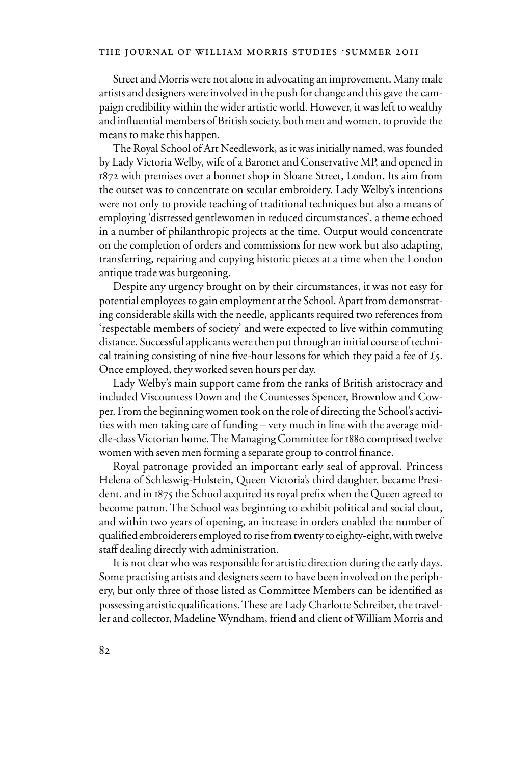Street and Morris were not alone in advocating an improvement. Many male artists and designers were involved in the push for change and this gave the campaign credibility within the wider artistic world. However, it was left to wealthy and influential members of British society, both men and women, to provide the means to make this happen.

The Royal School of Art Needlework, as it was initially named, was founded by Lady Victoria Welby, wife of a Baronet and Conservative MP, and opened in 1872 with premises over a bonnet shop in Sloane Street, London. Its aim from the outset was to concentrate on secular embroidery. Lady Welby's intentions were not only to provide teaching of traditional techniques but also a means of employing 'distressed gentlewomen in reduced circumstances', a theme echoed in a number of philanthropic projects at the time. Output would concentrate on the completion of orders and commissions for new work but also adapting, transferring, repairing and copying historic pieces at a time when the London antique trade was burgeoning.

Despite any urgency brought on by their circumstances, it was not easy for potential employees to gain employment at the School. Apart from demonstrating considerable skills with the needle, applicants required two references from 'respectable members of society' and were expected to live within commuting distance. Successful applicants were then put through an initial course of technical training consisting of nine five-hour lessons for which they paid a fee of  $\mathfrak{L}_5$ . Once employed, they worked seven hours per day.

Lady Welby's main support came from the ranks of British aristocracy and included Viscountess Down and the Countesses Spencer, Brownlow and Cowper. From the beginning women took on the role of directing the School's activities with men taking care of funding – very much in line with the average middle-class Victorian home. The Managing Committee for 1880 comprised twelve women with seven men forming a separate group to control finance.

Royal patronage provided an important early seal of approval. Princess Helena of Schleswig-Holstein, Queen Victoria's third daughter, became President, and in 1875 the School acquired its royal prefix when the Queen agreed to become patron. The School was beginning to exhibit political and social clout, and within two years of opening, an increase in orders enabled the number of qualified embroiderers employed to rise from twenty to eighty-eight, with twelve staff dealing directly with administration.

It is not clear who was responsible for artistic direction during the early days. Some practising artists and designers seem to have been involved on the periphery, but only three of those listed as Committee Members can be identified as possessing artistic qualifications. These are Lady Charlotte Schreiber, the traveller and collector, Madeline Wyndham, friend and client of William Morris and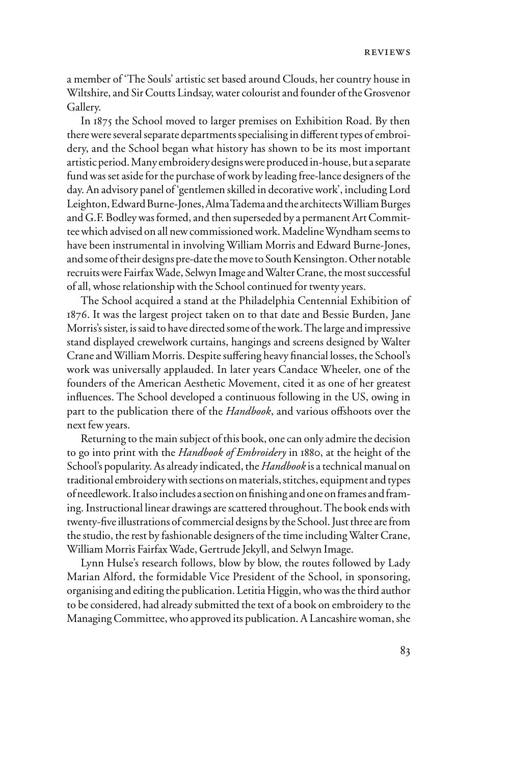a member of 'The Souls' artistic set based around Clouds, her country house in Wiltshire, and Sir Coutts Lindsay, water colourist and founder of the Grosvenor Gallery.

In 1875 the School moved to larger premises on Exhibition Road. By then there were several separate departments specialising in different types of embroidery, and the School began what history has shown to be its most important artistic period. Many embroidery designs were produced in-house, but a separate fund was set aside for the purchase of work by leading free-lance designers of the day. An advisory panel of 'gentlemen skilled in decorative work', including Lord Leighton, Edward Burne-Jones, Alma Tadema and the architects William Burges and G.F. Bodley was formed, and then superseded by a permanent Art Committee which advised on all new commissioned work. Madeline Wyndham seems to have been instrumental in involving William Morris and Edward Burne-Jones, and some of their designs pre-date the move to South Kensington. Other notable recruits were Fairfax Wade, Selwyn Image and Walter Crane, the most successful of all, whose relationship with the School continued for twenty years.

The School acquired a stand at the Philadelphia Centennial Exhibition of 1876. It was the largest project taken on to that date and Bessie Burden, Jane Morris's sister, is said to have directed some of the work. The large and impressive stand displayed crewelwork curtains, hangings and screens designed by Walter Crane and William Morris. Despite suffering heavy financial losses, the School's work was universally applauded. In later years Candace Wheeler, one of the founders of the American Aesthetic Movement, cited it as one of her greatest influences. The School developed a continuous following in the US, owing in part to the publication there of the *Handbook*, and various offshoots over the next few years.

Returning to the main subject of this book, one can only admire the decision to go into print with the *Handbook of Embroidery* in 1880, at the height of the School's popularity. As already indicated, the *Handbook* is a technical manual on traditional embroidery with sections on materials, stitches, equipment and types of needlework. It also includes a section on finishing and one on frames and framing. Instructional linear drawings are scattered throughout. The book ends with twenty-five illustrations of commercial designs by the School. Just three are from the studio, the rest by fashionable designers of the time including Walter Crane, William Morris Fairfax Wade, Gertrude Jekyll, and Selwyn Image.

Lynn Hulse's research follows, blow by blow, the routes followed by Lady Marian Alford, the formidable Vice President of the School, in sponsoring, organising and editing the publication. Letitia Higgin, who was the third author to be considered, had already submitted the text of a book on embroidery to the Managing Committee, who approved its publication. A Lancashire woman, she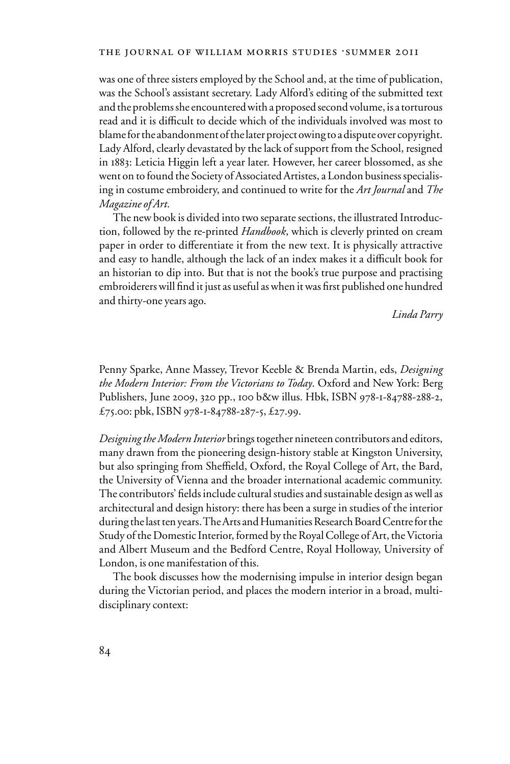was one of three sisters employed by the School and, at the time of publication, was the School's assistant secretary. Lady Alford's editing of the submitted text and the problems she encountered with a proposed second volume, is a torturous read and it is difficult to decide which of the individuals involved was most to blame for the abandonment of the later project owing to a dispute over copyright. Lady Alford, clearly devastated by the lack of support from the School, resigned in 1883: Leticia Higgin left a year later. However, her career blossomed, as she went on to found the Society of Associated Artistes, a London business specialising in costume embroidery, and continued to write for the *Art Journal* and *The Magazine of Art*.

The new book is divided into two separate sections, the illustrated Introduction, followed by the re-printed *Handbook*, which is cleverly printed on cream paper in order to differentiate it from the new text. It is physically attractive and easy to handle, although the lack of an index makes it a difficult book for an historian to dip into. But that is not the book's true purpose and practising embroiderers will find it just as useful as when it was first published one hundred and thirty-one years ago.

*Linda Parry*

Penny Sparke, Anne Massey, Trevor Keeble & Brenda Martin, eds, *Designing the Modern Interior: From the Victorians to Today*. Oxford and New York: Berg Publishers, June 2009, 320 pp., 100 b&w illus. Hbk, ISBN 978-1-84788-288-2, £75.00: pbk, ISBN 978-1-84788-287-5, £27.99.

*Designing the Modern Interior* brings together nineteen contributors and editors, many drawn from the pioneering design-history stable at Kingston University, but also springing from Sheffield, Oxford, the Royal College of Art, the Bard, the University of Vienna and the broader international academic community. The contributors' fields include cultural studies and sustainable design as well as architectural and design history: there has been a surge in studies of the interior during the last ten years. The Arts and Humanities Research Board Centre for the Study of the Domestic Interior, formed by the Royal College of Art, the Victoria and Albert Museum and the Bedford Centre, Royal Holloway, University of London, is one manifestation of this.

The book discusses how the modernising impulse in interior design began during the Victorian period, and places the modern interior in a broad, multidisciplinary context: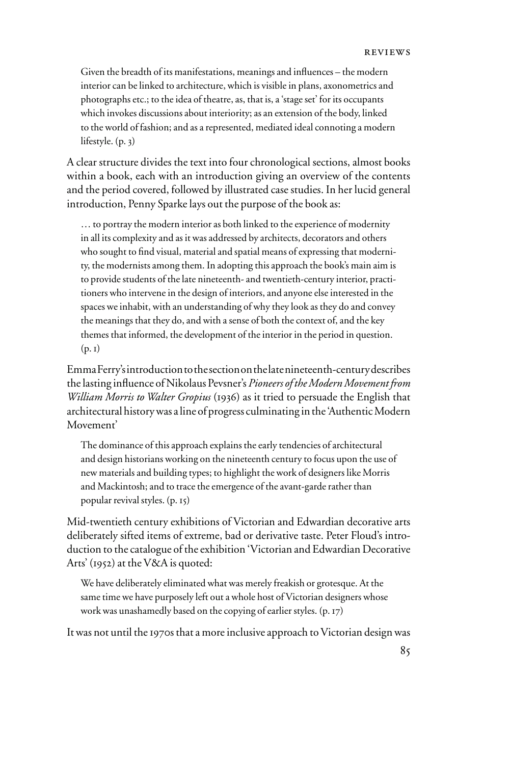Given the breadth of its manifestations, meanings and influences – the modern interior can be linked to architecture, which is visible in plans, axonometrics and photographs etc.; to the idea of theatre, as, that is, a 'stage set' for its occupants which invokes discussions about interiority; as an extension of the body, linked to the world of fashion; and as a represented, mediated ideal connoting a modern lifestyle. (p. 3)

A clear structure divides the text into four chronological sections, almost books within a book, each with an introduction giving an overview of the contents and the period covered, followed by illustrated case studies. In her lucid general introduction, Penny Sparke lays out the purpose of the book as:

… to portray the modern interior as both linked to the experience of modernity in all its complexity and as it was addressed by architects, decorators and others who sought to find visual, material and spatial means of expressing that modernity, the modernists among them. In adopting this approach the book's main aim is to provide students of the late nineteenth- and twentieth-century interior, practitioners who intervene in the design of interiors, and anyone else interested in the spaces we inhabit, with an understanding of why they look as they do and convey the meanings that they do, and with a sense of both the context of, and the key themes that informed, the development of the interior in the period in question.  $(p, i)$ 

Emma Ferry's introduction to the section on the late nineteenth-century describes the lasting influence of Nikolaus Pevsner's *Pioneers of the Modern Movement from William Morris to Walter Gropius* (1936) as it tried to persuade the English that architectural history was a line of progress culminating in the 'Authentic Modern Movement'

The dominance of this approach explains the early tendencies of architectural and design historians working on the nineteenth century to focus upon the use of new materials and building types; to highlight the work of designers like Morris and Mackintosh; and to trace the emergence of the avant-garde rather than popular revival styles. (p. 15)

Mid-twentieth century exhibitions of Victorian and Edwardian decorative arts deliberately sifted items of extreme, bad or derivative taste. Peter Floud's introduction to the catalogue of the exhibition 'Victorian and Edwardian Decorative Arts' (1952) at the V&A is quoted:

We have deliberately eliminated what was merely freakish or grotesque. At the same time we have purposely left out a whole host of Victorian designers whose work was unashamedly based on the copying of earlier styles. (p. 17)

It was not until the 1970s that a more inclusive approach to Victorian design was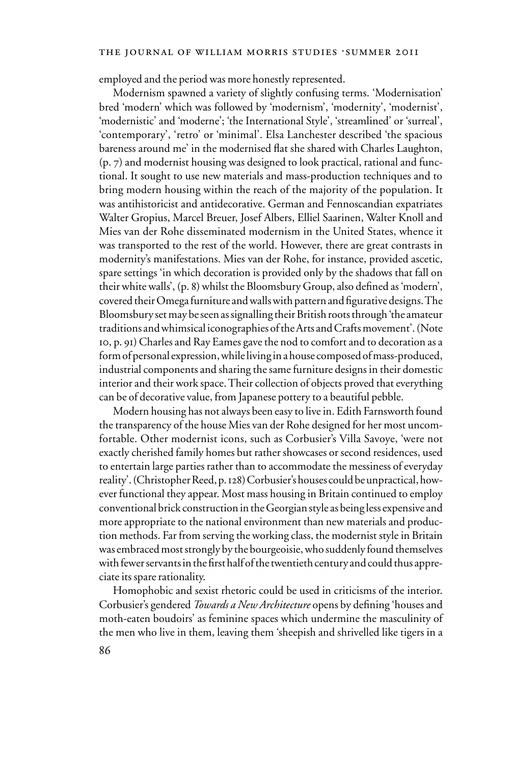#### THE JOURNAL OF WILLIAM MORRIS STUDIES .SUMMER 2011

employed and the period was more honestly represented.

Modernism spawned a variety of slightly confusing terms. 'Modernisation' bred 'modern' which was followed by 'modernism', 'modernity', 'modernist', 'modernistic' and 'moderne'; 'the International Style', 'streamlined' or 'surreal', 'contemporary', 'retro' or 'minimal'. Elsa Lanchester described 'the spacious bareness around me' in the modernised flat she shared with Charles Laughton, (p. 7) and modernist housing was designed to look practical, rational and functional. It sought to use new materials and mass-production techniques and to bring modern housing within the reach of the majority of the population. It was antihistoricist and antidecorative. German and Fennoscandian expatriates Walter Gropius, Marcel Breuer, Josef Albers, Elliel Saarinen, Walter Knoll and Mies van der Rohe disseminated modernism in the United States, whence it was transported to the rest of the world. However, there are great contrasts in modernity's manifestations. Mies van der Rohe, for instance, provided ascetic, spare settings 'in which decoration is provided only by the shadows that fall on their white walls', (p. 8) whilst the Bloomsbury Group, also defined as 'modern', covered their Omega furniture and walls with pattern and figurative designs. The Bloomsbury set may be seen as signalling their British roots through 'the amateur traditions and whimsical iconographies of the Arts and Crafts movement'. (Note 10, p. 91) Charles and Ray Eames gave the nod to comfort and to decoration as a form of personal expression, while living in a house composed of mass-produced, industrial components and sharing the same furniture designs in their domestic interior and their work space. Their collection of objects proved that everything can be of decorative value, from Japanese pottery to a beautiful pebble.

Modern housing has not always been easy to live in. Edith Farnsworth found the transparency of the house Mies van der Rohe designed for her most uncomfortable. Other modernist icons, such as Corbusier's Villa Savoye, 'were not exactly cherished family homes but rather showcases or second residences, used to entertain large parties rather than to accommodate the messiness of everyday reality'. (Christopher Reed, p. 128) Corbusier's houses could be unpractical, however functional they appear. Most mass housing in Britain continued to employ conventional brick construction in the Georgian style as being less expensive and more appropriate to the national environment than new materials and production methods. Far from serving the working class, the modernist style in Britain was embraced most strongly by the bourgeoisie, who suddenly found themselves with fewer servants in the first half of the twentieth century and could thus appreciate its spare rationality.

Homophobic and sexist rhetoric could be used in criticisms of the interior. Corbusier's gendered *Towards a New Architecture* opens by defining 'houses and moth-eaten boudoirs' as feminine spaces which undermine the masculinity of the men who live in them, leaving them 'sheepish and shrivelled like tigers in a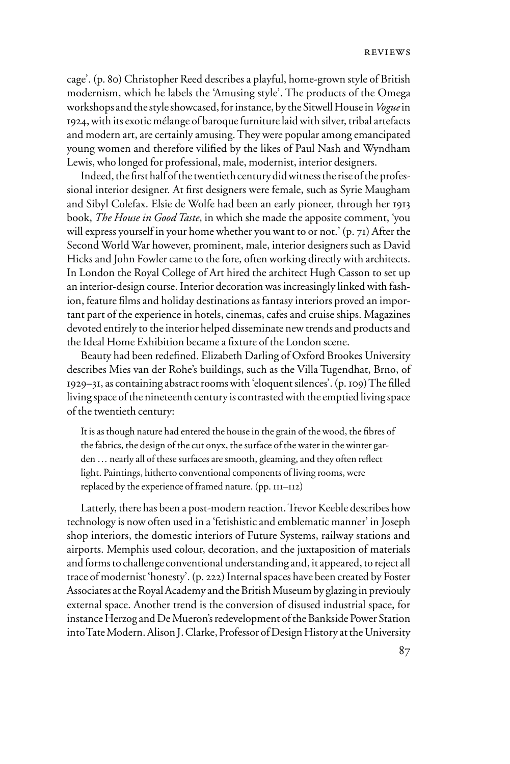cage'. (p. 80) Christopher Reed describes a playful, home-grown style of British modernism, which he labels the 'Amusing style'. The products of the Omega workshops and the style showcased, for instance, by the Sitwell House in *Vogue* in 1924, with its exotic mélange of baroque furniture laid with silver, tribal artefacts and modern art, are certainly amusing. They were popular among emancipated young women and therefore vilified by the likes of Paul Nash and Wyndham Lewis, who longed for professional, male, modernist, interior designers.

Indeed, the first half of the twentieth century did witness the rise of the professional interior designer. At first designers were female, such as Syrie Maugham and Sibyl Colefax. Elsie de Wolfe had been an early pioneer, through her 1913 book, *The House in Good Taste*, in which she made the apposite comment, 'you will express yourself in your home whether you want to or not.' (p. 71) After the Second World War however, prominent, male, interior designers such as David Hicks and John Fowler came to the fore, often working directly with architects. In London the Royal College of Art hired the architect Hugh Casson to set up an interior-design course. Interior decoration was increasingly linked with fashion, feature films and holiday destinations as fantasy interiors proved an important part of the experience in hotels, cinemas, cafes and cruise ships. Magazines devoted entirely to the interior helped disseminate new trends and products and the Ideal Home Exhibition became a fixture of the London scene.

Beauty had been redefined. Elizabeth Darling of Oxford Brookes University describes Mies van der Rohe's buildings, such as the Villa Tugendhat, Brno, of  $1929-31$ , as containing abstract rooms with 'eloquent silences'. (p. 109) The filled living space of the nineteenth century is contrasted with the emptied living space of the twentieth century:

It is as though nature had entered the house in the grain of the wood, the fibres of the fabrics, the design of the cut onyx, the surface of the water in the winter garden ... nearly all of these surfaces are smooth, gleaming, and they often reflect light. Paintings, hitherto conventional components of living rooms, were replaced by the experience of framed nature. (pp. 111–112)

Latterly, there has been a post-modern reaction. Trevor Keeble describes how technology is now often used in a 'fetishistic and emblematic manner' in Joseph shop interiors, the domestic interiors of Future Systems, railway stations and airports. Memphis used colour, decoration, and the juxtaposition of materials and forms to challenge conventional understanding and, it appeared, to reject all trace of modernist 'honesty'. (p. 222) Internal spaces have been created by Foster Associates at the Royal Academy and the British Museum by glazing in previouly external space. Another trend is the conversion of disused industrial space, for instance Herzog and De Mueron's redevelopment of the Bankside Power Station into Tate Modern. Alison J. Clarke, Professor of Design History at the University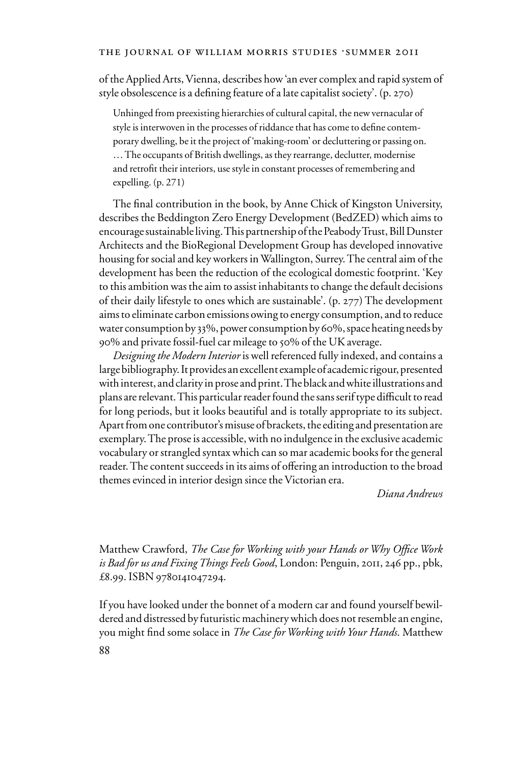of the Applied Arts, Vienna, describes how 'an ever complex and rapid system of style obsolescence is a defining feature of a late capitalist society'. (p. 270)

Unhinged from preexisting hierarchies of cultural capital, the new vernacular of style is interwoven in the processes of riddance that has come to define contemporary dwelling, be it the project of 'making-room' or decluttering or passing on. … The occupants of British dwellings, as they rearrange, declutter, modernise and retrofit their interiors, use style in constant processes of remembering and expelling. (p. 271)

The final contribution in the book, by Anne Chick of Kingston University, describes the Beddington Zero Energy Development (BedZED) which aims to encourage sustainable living. This partnership of the Peabody Trust, Bill Dunster Architects and the BioRegional Development Group has developed innovative housing for social and key workers in Wallington, Surrey. The central aim of the development has been the reduction of the ecological domestic footprint. 'Key to this ambition was the aim to assist inhabitants to change the default decisions of their daily lifestyle to ones which are sustainable'. (p. 277) The development aims to eliminate carbon emissions owing to energy consumption, and to reduce water consumption by 33%, power consumption by 60%, space heating needs by 90% and private fossil-fuel car mileage to 50% of the UK average.

*Designing the Modern Interior* is well referenced fully indexed, and contains a large bibliography. It provides an excellent example of academic rigour, presented with interest, and clarity in prose and print. The black and white illustrations and plans are relevant. This particular reader found the sans serif type difficult to read for long periods, but it looks beautiful and is totally appropriate to its subject. Apart from one contributor's misuse of brackets, the editing and presentation are exemplary. The prose is accessible, with no indulgence in the exclusive academic vocabulary or strangled syntax which can so mar academic books for the general reader. The content succeeds in its aims of offering an introduction to the broad themes evinced in interior design since the Victorian era.

*Diana Andrews*

Matthew Crawford, *The Case for Working with your Hands or Why Office Work is Bad for us and Fixing Things Feels Good*, London: Penguin, 2011, 246 pp., pbk, £8.99. ISBN 9780141047294.

If you have looked under the bonnet of a modern car and found yourself bewildered and distressed by futuristic machinery which does not resemble an engine, you might find some solace in *The Case for Working with Your Hands*. Matthew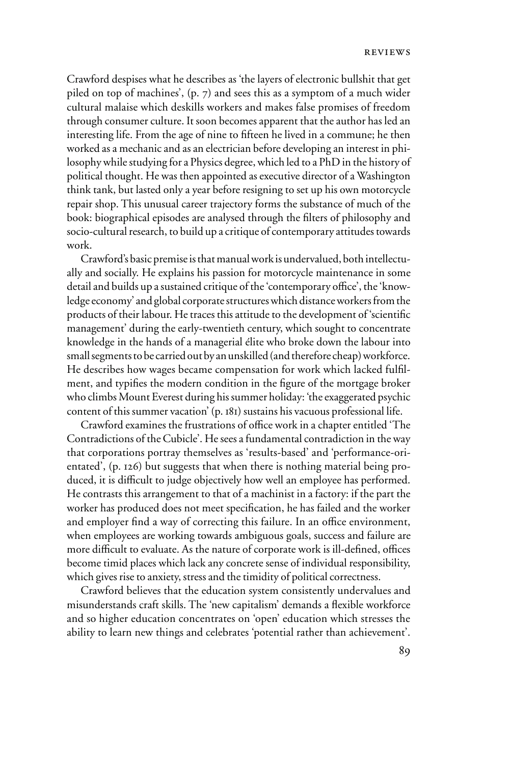Crawford despises what he describes as 'the layers of electronic bullshit that get piled on top of machines', (p. 7) and sees this as a symptom of a much wider cultural malaise which deskills workers and makes false promises of freedom through consumer culture. It soon becomes apparent that the author has led an interesting life. From the age of nine to fifteen he lived in a commune; he then worked as a mechanic and as an electrician before developing an interest in philosophy while studying for a Physics degree, which led to a PhD in the history of political thought. He was then appointed as executive director of a Washington think tank, but lasted only a year before resigning to set up his own motorcycle repair shop. This unusual career trajectory forms the substance of much of the book: biographical episodes are analysed through the filters of philosophy and socio-cultural research, to build up a critique of contemporary attitudes towards work.

Crawford's basic premise is that manual work is undervalued, both intellectually and socially. He explains his passion for motorcycle maintenance in some detail and builds up a sustained critique of the 'contemporary office', the 'knowledge economy' and global corporate structures which distance workers from the products of their labour. He traces this attitude to the development of 'scientific management' during the early-twentieth century, which sought to concentrate knowledge in the hands of a managerial élite who broke down the labour into small segments to be carried out by an unskilled (and therefore cheap) workforce. He describes how wages became compensation for work which lacked fulfilment, and typifies the modern condition in the figure of the mortgage broker who climbs Mount Everest during his summer holiday: 'the exaggerated psychic content of this summer vacation' (p. 181) sustains his vacuous professional life.

Crawford examines the frustrations of office work in a chapter entitled 'The Contradictions of the Cubicle'. He sees a fundamental contradiction in the way that corporations portray themselves as 'results-based' and 'performance-orientated', (p. 126) but suggests that when there is nothing material being produced, it is difficult to judge objectively how well an employee has performed. He contrasts this arrangement to that of a machinist in a factory: if the part the worker has produced does not meet specification, he has failed and the worker and employer find a way of correcting this failure. In an office environment, when employees are working towards ambiguous goals, success and failure are more difficult to evaluate. As the nature of corporate work is ill-defined, offices become timid places which lack any concrete sense of individual responsibility, which gives rise to anxiety, stress and the timidity of political correctness.

Crawford believes that the education system consistently undervalues and misunderstands craft skills. The 'new capitalism' demands a flexible workforce and so higher education concentrates on 'open' education which stresses the ability to learn new things and celebrates 'potential rather than achievement'.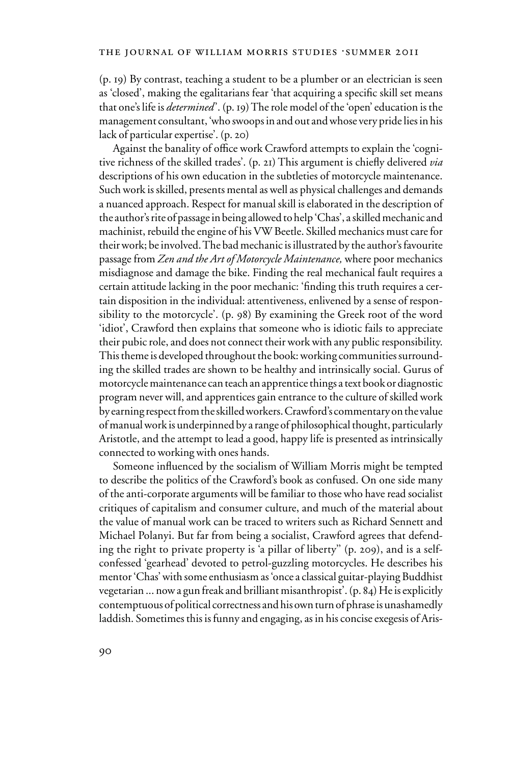(p. 19) By contrast, teaching a student to be a plumber or an electrician is seen as 'closed', making the egalitarians fear 'that acquiring a specific skill set means that one's life is *determined* '. (p. 19) The role model of the 'open' education is the management consultant, 'who swoops in and out and whose very pride lies in his lack of particular expertise'. (p. 20)

Against the banality of office work Crawford attempts to explain the 'cognitive richness of the skilled trades'. (p. 21) This argument is chiefly delivered *via* descriptions of his own education in the subtleties of motorcycle maintenance. Such work is skilled, presents mental as well as physical challenges and demands a nuanced approach. Respect for manual skill is elaborated in the description of the author's rite of passage in being allowed to help 'Chas', a skilled mechanic and machinist, rebuild the engine of his VW Beetle. Skilled mechanics must care for their work; be involved. The bad mechanic is illustrated by the author's favourite passage from *Zen and the Art of Motorcycle Maintenance,* where poor mechanics misdiagnose and damage the bike. Finding the real mechanical fault requires a certain attitude lacking in the poor mechanic: 'finding this truth requires a certain disposition in the individual: attentiveness, enlivened by a sense of responsibility to the motorcycle'. (p. 98) By examining the Greek root of the word 'idiot', Crawford then explains that someone who is idiotic fails to appreciate their pubic role, and does not connect their work with any public responsibility. This theme is developed throughout the book: working communities surrounding the skilled trades are shown to be healthy and intrinsically social. Gurus of motorcycle maintenance can teach an apprentice things a text book or diagnostic program never will, and apprentices gain entrance to the culture of skilled work by earning respect from the skilled workers. Crawford's commentary on the value of manual work is underpinned by a range of philosophical thought, particularly Aristotle, and the attempt to lead a good, happy life is presented as intrinsically connected to working with ones hands.

Someone influenced by the socialism of William Morris might be tempted to describe the politics of the Crawford's book as confused. On one side many of the anti-corporate arguments will be familiar to those who have read socialist critiques of capitalism and consumer culture, and much of the material about the value of manual work can be traced to writers such as Richard Sennett and Michael Polanyi. But far from being a socialist, Crawford agrees that defending the right to private property is 'a pillar of liberty'' (p. 209), and is a selfconfessed 'gearhead' devoted to petrol-guzzling motorcycles. He describes his mentor 'Chas' with some enthusiasm as 'once a classical guitar-playing Buddhist vegetarian ... now a gun freak and brilliant misanthropist'. (p. 84) He is explicitly contemptuous of political correctness and his own turn of phrase is unashamedly laddish. Sometimes this is funny and engaging, as in his concise exegesis of Aris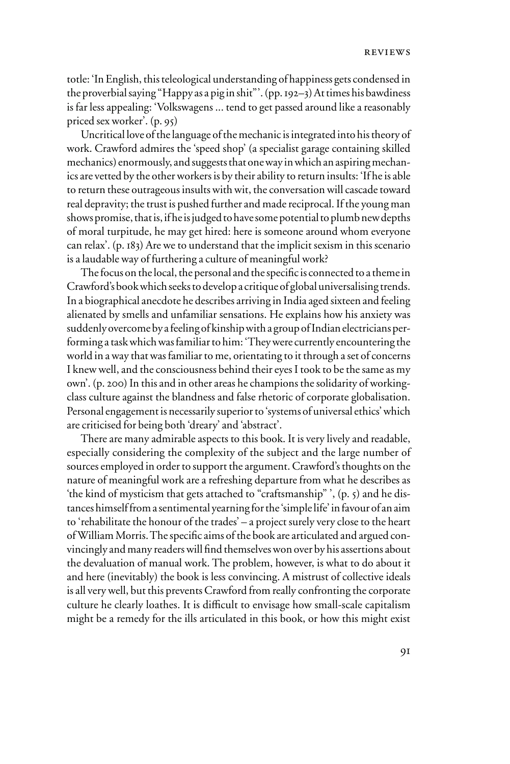totle: 'In English, this teleological understanding of happiness gets condensed in the proverbial saying "Happy as a pig in shit"'. (pp. 192–3) At times his bawdiness is far less appealing: 'Volkswagens ... tend to get passed around like a reasonably priced sex worker'. (p. 95)

Uncritical love of the language of the mechanic is integrated into his theory of work. Crawford admires the 'speed shop' (a specialist garage containing skilled mechanics) enormously, and suggests that one way in which an aspiring mechanics are vetted by the other workers is by their ability to return insults: 'If he is able to return these outrageous insults with wit, the conversation will cascade toward real depravity; the trust is pushed further and made reciprocal. If the young man shows promise, that is, if he is judged to have some potential to plumb new depths of moral turpitude, he may get hired: here is someone around whom everyone can relax'. (p. 183) Are we to understand that the implicit sexism in this scenario is a laudable way of furthering a culture of meaningful work?

The focus on the local, the personal and the specific is connected to a theme in Crawford's book which seeks to develop a critique of global universalising trends. In a biographical anecdote he describes arriving in India aged sixteen and feeling alienated by smells and unfamiliar sensations. He explains how his anxiety was suddenly overcome by a feeling of kinship with a group of Indian electricians performing a task which was familiar to him: 'They were currently encountering the world in a way that was familiar to me, orientating to it through a set of concerns I knew well, and the consciousness behind their eyes I took to be the same as my own'. (p. 200) In this and in other areas he champions the solidarity of workingclass culture against the blandness and false rhetoric of corporate globalisation. Personal engagement is necessarily superior to 'systems of universal ethics' which are criticised for being both 'dreary' and 'abstract'.

There are many admirable aspects to this book. It is very lively and readable, especially considering the complexity of the subject and the large number of sources employed in order to support the argument. Crawford's thoughts on the nature of meaningful work are a refreshing departure from what he describes as 'the kind of mysticism that gets attached to "craftsmanship" ', (p. 5) and he distances himself from a sentimental yearning for the 'simple life' in favour of an aim to 'rehabilitate the honour of the trades' – a project surely very close to the heart of William Morris. The specific aims of the book are articulated and argued convincingly and many readers will find themselves won over by his assertions about the devaluation of manual work. The problem, however, is what to do about it and here (inevitably) the book is less convincing. A mistrust of collective ideals is all very well, but this prevents Crawford from really confronting the corporate culture he clearly loathes. It is difficult to envisage how small-scale capitalism might be a remedy for the ills articulated in this book, or how this might exist